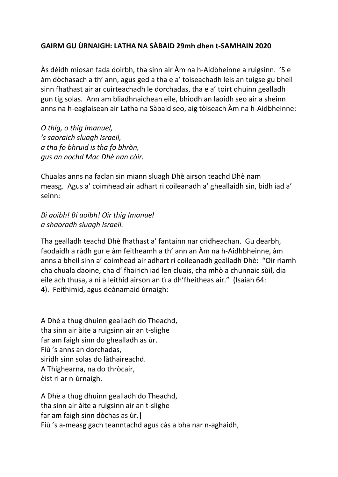## **GAIRM GU ÙRNAIGH: LATHA NA SÀBAID 29mh dhen t-SAMHAIN 2020**

Às dèidh mìosan fada doirbh, tha sinn air Àm na h-Aidbheinne a ruigsinn. 'S e àm dòchasach a th' ann, agus ged a tha e a' toiseachadh leis an tuigse gu bheil sinn fhathast air ar cuirteachadh le dorchadas, tha e a' toirt dhuinn gealladh gun tig solas. Ann am bliadhnaichean eile, bhiodh an laoidh seo air a sheinn anns na h-eaglaisean air Latha na Sàbaid seo, aig tòiseach Àm na h-Aidbheinne:

*O thig, o thig Imanuel, 's saoraich sluagh Israeil, a tha fo bhruid is tha fo bhròn, gus an nochd Mac Dhè nan còir.*

Chualas anns na faclan sin miann sluagh Dhè airson teachd Dhè nam measg. Agus a' coimhead air adhart ri coileanadh a' gheallaidh sin, bidh iad a' seinn:

*Bi aoibh! Bi aoibh! Oir thig Imanuel a shaoradh sluagh Israeil.*

Tha gealladh teachd Dhè fhathast a' fantainn nar cridheachan. Gu dearbh, faodaidh a ràdh gur e àm feitheamh a th' ann an Àm na h-Aidhbheinne, àm anns a bheil sinn a' coimhead air adhart ri coileanadh gealladh Dhè: "Oir riamh cha chuala daoine, cha d' fhairich iad len cluais, cha mhò a chunnaic sùil, dia eile ach thusa, a nì a leithid airson an tì a dh'fheitheas air." (Isaiah 64: 4). Feithimid, agus deànamaid ùrnaigh:

A Dhè a thug dhuinn gealladh do Theachd, tha sinn air àite a ruigsinn air an t-slighe far am faigh sinn do ghealladh as ùr. Fiù 's anns an dorchadas, siridh sinn solas do làthaireachd. A Thighearna, na do thròcair, èist ri ar n-ùrnaigh.

A Dhè a thug dhuinn gealladh do Theachd, tha sinn air àite a ruigsinn air an t-slighe far am faigh sinn dòchas as ùr.| Fiù 's a-measg gach teanntachd agus càs a bha nar n-aghaidh,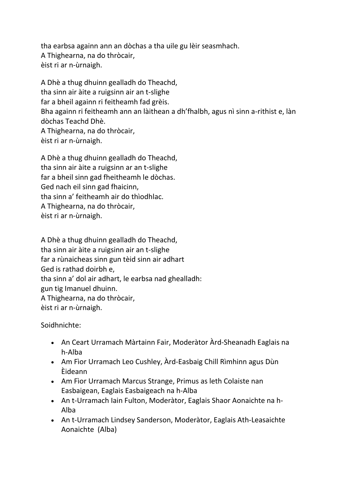tha earbsa againn ann an dòchas a tha uile gu lèir seasmhach. A Thighearna, na do thròcair, èist ri ar n-ùrnaigh.

A Dhè a thug dhuinn gealladh do Theachd, tha sinn air àite a ruigsinn air an t-slighe far a bheil againn ri feitheamh fad grèis. Bha againn ri feitheamh ann an làithean a dh'fhalbh, agus nì sinn a-rithist e, làn dòchas Teachd Dhè. A Thighearna, na do thròcair, èist ri ar n-ùrnaigh.

A Dhè a thug dhuinn gealladh do Theachd, tha sinn air àite a ruigsinn ar an t-slighe far a bheil sinn gad fheitheamh le dòchas. Ged nach eil sinn gad fhaicinn, tha sinn a' feitheamh air do thìodhlac. A Thighearna, na do thròcair, èist ri ar n-ùrnaigh.

A Dhè a thug dhuinn gealladh do Theachd, tha sinn air àite a ruigsinn air an t-slighe far a rùnaicheas sinn gun tèid sinn air adhart Ged is rathad doirbh e, tha sinn a' dol air adhart, le earbsa nad ghealladh: gun tig Imanuel dhuinn. A Thighearna, na do thròcair, èist ri ar n-ùrnaigh.

Soidhnichte:

- An Ceart Urramach Màrtainn Fair, Moderàtor Àrd-Sheanadh Eaglais na h-Alba
- Am Fìor Urramach Leo Cushley, Àrd-Easbaig Chill Rìmhinn agus Dùn Èideann
- Am Fìor Urramach Marcus Strange, Primus as leth Colaiste nan Easbaigean, Eaglais Easbaigeach na h-Alba
- An t-Urramach Iain Fulton, Moderàtor, Eaglais Shaor Aonaichte na h-Alba
- An t-Urramach Lindsey Sanderson, Moderàtor, Eaglais Ath-Leasaichte Aonaichte (Alba)